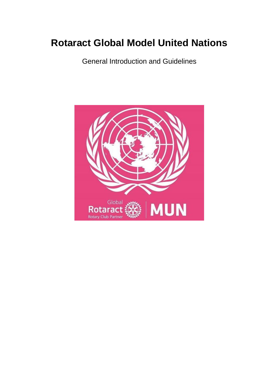# **Rotaract Global Model United Nations**

General Introduction and Guidelines

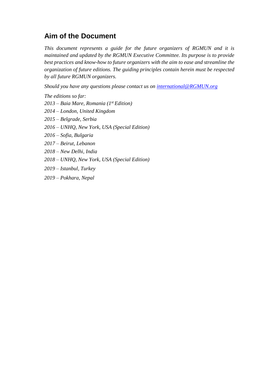## <span id="page-1-0"></span>**Aim of the Document**

*This document represents a guide for the future organizers of RGMUN and it is maintained and updated by the RGMUN Executive Committee. Its purpose is to provide best practices and know-how to future organizers with the aim to ease and streamline the organization of future editions. The guiding principles contain herein must be respected by all future RGMUN organizers.*

*Should you have any questions please contact us on [international@RGMUN.org](mailto:international@RGMUN.org)*

*The editions so far:*

- *2013 – Baia Mare, Romania (1st Edition)*
- *2014 – London, United Kingdom*
- *2015 – Belgrade, Serbia*
- *2016 – UNHQ, New York, USA (Special Edition)*
- *2016 – Sofia, Bulgaria*
- *2017 – Beirut, Lebanon*
- *2018 – New Delhi, India*
- *2018 – UNHQ, New York, USA (Special Edition)*
- *2019 – Istanbul, Turkey*
- *2019 – Pokhara, Nepal*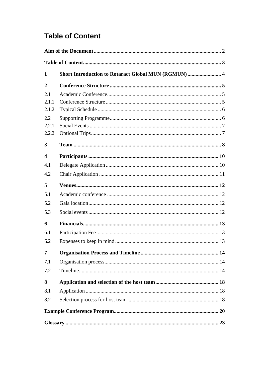## <span id="page-2-0"></span>**Table of Content**

| $\mathbf 2$      |  |  |
|------------------|--|--|
| 2.1              |  |  |
| 2.1.1            |  |  |
| 2.1.2            |  |  |
| 2.2              |  |  |
| 2.2.1            |  |  |
| 2.2.2            |  |  |
| 3                |  |  |
| $\boldsymbol{4}$ |  |  |
| 4.1              |  |  |
| 4.2              |  |  |
| 5                |  |  |
| 5.1              |  |  |
| 5.2              |  |  |
| 5.3              |  |  |
| 6                |  |  |
| 6.1              |  |  |
| 6.2              |  |  |
| 7                |  |  |
| 7.1              |  |  |
| 7.2              |  |  |
| 8                |  |  |
| 8.1              |  |  |
| 8.2              |  |  |
|                  |  |  |
|                  |  |  |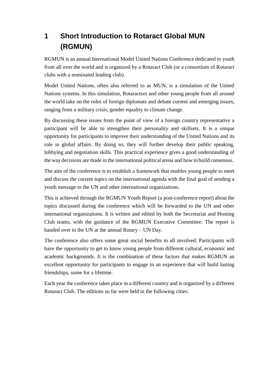## <span id="page-3-0"></span>**1 Short Introduction to Rotaract Global MUN (RGMUN)**

RGMUN is an annual International Model United Nations Conference dedicated to youth from all over the world and is organized by a Rotaract Club (or a consortium of Rotaract clubs with a nominated leading club).

Model United Nations, often also referred to as MUN, is a simulation of the United Nations systems. In this simulation, Rotaractors and other young people from all around the world take on the roles of foreign diplomats and debate current and emerging issues, ranging from a military crisis, gender equality to climate change.

By discussing these issues from the point of view of a foreign country representative a participant will be able to strengthen their personality and skillsets. It is a unique opportunity for participants to improve their understanding of the United Nations and its role in global affairs. By doing so, they will further develop their public speaking, lobbying and negotiation skills. This practical experience gives a good understanding of the way decisions are made in the international political arena and how to build consensus.

The aim of the conference is to establish a framework that enables young people to meet and discuss the current topics on the international agenda with the final goal of sending a youth message to the UN and other international organizations.

This is achieved through the RGMUN Youth Report (a post-conference report) about the topics discussed during the conference which will be forwarded to the UN and other international organizations. It is written and edited by both the Secretariat and Hosting Club teams, with the guidance of the RGMUN Executive Committee. The report is handed over to the UN at the annual Rotary – UN Day.

The conference also offers some great social benefits to all involved. Participants will have the opportunity to get to know young people from different cultural, economic and academic backgrounds. It is the combination of these factors that makes RGMUN an excellent opportunity for participants to engage in an experience that will build lasting friendships, some for a lifetime.

Each year the conference takes place in a different country and is organized by a different Rotaract Club. The editions so far were held in the following cities: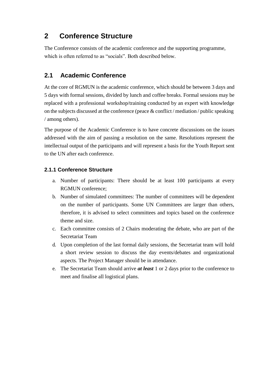## <span id="page-4-0"></span>**2 Conference Structure**

The Conference consists of the academic conference and the supporting programme, which is often referred to as "socials". Both described below.

### <span id="page-4-1"></span>**2.1 Academic Conference**

At the core of RGMUN is the academic conference, which should be between 3 days and 5 days with formal sessions, divided by lunch and coffee breaks. Formal sessions may be replaced with a professional workshop/training conducted by an expert with knowledge on the subjects discussed at the conference (peace & conflict / mediation / public speaking / among others).

The purpose of the Academic Conference is to have concrete discussions on the issues addressed with the aim of passing a resolution on the same. Resolutions represent the intellectual output of the participants and will represent a basis for the Youth Report sent to the UN after each conference.

### <span id="page-4-2"></span>**2.1.1 Conference Structure**

- a. Number of participants: There should be at least 100 participants at every RGMUN conference;
- b. Number of simulated committees: The number of committees will be dependent on the number of participants. Some UN Committees are larger than others, therefore, it is advised to select committees and topics based on the conference theme and size.
- c. Each committee consists of 2 Chairs moderating the debate, who are part of the Secretariat Team
- d. Upon completion of the last formal daily sessions, the Secretariat team will hold a short review session to discuss the day events/debates and organizational aspects. The Project Manager should be in attendance.
- e. The Secretariat Team should arrive *at least* 1 or 2 days prior to the conference to meet and finalise all logistical plans.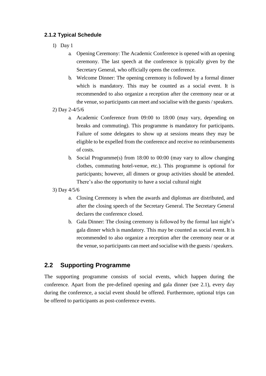#### <span id="page-5-0"></span>**2.1.2 Typical Schedule**

- 1) Day 1
	- a. Opening Ceremony: The Academic Conference is opened with an opening ceremony. The last speech at the conference is typically given by the Secretary General, who officially opens the conference.
	- b. Welcome Dinner: The opening ceremony is followed by a formal dinner which is mandatory. This may be counted as a social event. It is recommended to also organize a reception after the ceremony near or at the venue, so participants can meet and socialise with the guests / speakers.
- 2) Day 2-4/5/6
	- a. Academic Conference from 09:00 to 18:00 (may vary, depending on breaks and commuting). This programme is mandatory for participants. Failure of some delegates to show up at sessions means they may be eligible to be expelled from the conference and receive no reimbursements of costs.
	- b. Social Programme(s) from 18:00 to 00:00 (may vary to allow changing clothes, commuting hotel-venue, etc.). This programme is optional for participants; however, all dinners or group activities should be attended. There's also the opportunity to have a social cultural night
- 3) Day 4/5/6
	- a. Closing Ceremony is when the awards and diplomas are distributed, and after the closing speech of the Secretary General. The Secretary General declares the conference closed.
	- b. Gala Dinner: The closing ceremony is followed by the formal last night's gala dinner which is mandatory. This may be counted as social event. It is recommended to also organize a reception after the ceremony near or at the venue, so participants can meet and socialise with the guests / speakers.

### <span id="page-5-1"></span>**2.2 Supporting Programme**

The supporting programme consists of social events, which happen during the conference. Apart from the pre-defined opening and gala dinner (see 2.1), every day during the conference, a social event should be offered. Furthermore, optional trips can be offered to participants as post-conference events.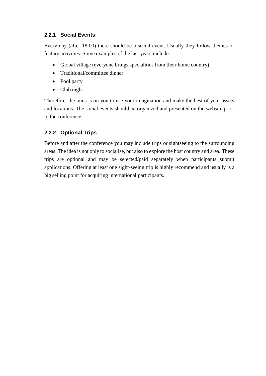#### <span id="page-6-0"></span>**2.2.1 Social Events**

Every day (after 18:00) there should be a social event. Usually they follow themes or feature activities. Some examples of the last years include:

- Global village (everyone brings specialities from their home country)
- Traditional/committee dinner
- Pool party
- Club night

Therefore, the onus is on you to use your imagination and make the best of your assets and locations. The social events should be organized and presented on the website prior to the conference.

#### <span id="page-6-1"></span>**2.2.2 Optional Trips**

Before and after the conference you may include trips or sightseeing to the surrounding areas. The idea is not only to socialise, but also to explore the host country and area. These trips are optional and may be selected/paid separately when participants submit applications. Offering at least one sight-seeing trip is highly recommend and usually is a big selling point for acquiring international participants.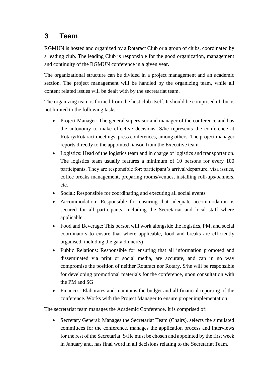## <span id="page-7-0"></span>**3 Team**

RGMUN is hosted and organized by a Rotaract Club or a group of clubs, coordinated by a leading club. The leading Club is responsible for the good organization, management and continuity of the RGMUN conference in a given year.

The organizational structure can be divided in a project management and an academic section. The project management will be handled by the organizing team, while all content related issues will be dealt with by the secretariat team.

The organizing team is formed from the host club itself. It should be comprised of, but is not limited to the following tasks:

- Project Manager: The general supervisor and manager of the conference and has the autonomy to make effective decisions. S/he represents the conference at Rotary/Rotaract meetings, press conferences, among others. The project manager reports directly to the appointed liaison from the Executive team.
- Logistics: Head of the logistics team and in charge of logistics and transportation. The logistics team usually features a minimum of 10 persons for every 100 participants. They are responsible for: participant's arrival/departure, visa issues, coffee breaks management, preparing rooms/venues, installing roll-ups/banners, etc.
- Social: Responsible for coordinating and executing all social events
- Accommodation: Responsible for ensuring that adequate accommodation is secured for all participants, including the Secretariat and local staff where applicable.
- Food and Beverage: This person will work alongside the logistics, PM, and social coordinators to ensure that where applicable, food and breaks are efficiently organised, including the gala dinner(s)
- Public Relations: Responsible for ensuring that all information promoted and disseminated via print or social media, are accurate, and can in no way compromise the position of neither Rotaract nor Rotary. S/he will be responsible for developing promotional materials for the conference, upon consultation with the PM and SG
- Finances: Elaborates and maintains the budget and all financial reporting of the conference. Works with the Project Manager to ensure properimplementation.

The secretariat team manages the Academic Conference. It is comprised of:

• Secretary General: Manages the Secretariat Team (Chairs), selects the simulated committees for the conference, manages the application process and interviews for the rest of the Secretariat. S/He must be chosen and appointed by the first week in January and, has final word in all decisions relating to the Secretariat Team.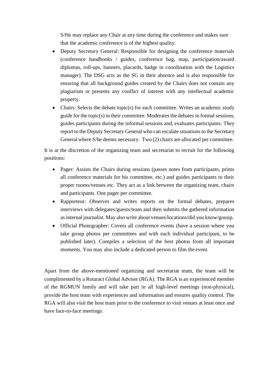S/He may replace any Chair at any time during the conference and makes sure that the academic conference is of the highest quality.

- Deputy Secretary General: Responsible for designing the conference materials (conference handbooks / guides, conference bag, map, participation/award diplomas, roll-ups, banners, placards, badge in coordination with the Logistics manager). The DSG acts as the SG in their absence and is also responsible for ensuring that all background guides created by the Chairs does not contain any plagiarism or presents any conflict of interest with any intellectual academic property.
- Chairs: Selects the debate topic(s) for each committee. Writes an academic study guide for the topic $(s)$  in their committee. Moderates the debates in formal sessions, guides participants during the informal sessions and, evaluates participants. They report to the Deputy Secretary General who can escalate situations to the Secretary General where S/he deems necessary. Two (2) chairs are allocated per committee.

It is at the discretion of the organizing team and secretariat to recruit for the following positions:

- Pager: Assists the Chairs during sessions (passes notes from participants, prints all conference materials for his committee, etc.) and guides participants to their proper rooms/venues etc. They act as a link between the organizing team, chairs and participants. One pager per committee.
- Rapporteur: Observes and writes reports on the formal debates, prepares interviews with delegates/guests/team and then submits the gathered information as internal journalist. May also write about venues/locations/did you know/gossip.
- Official Photographer: Covers all conference events (have a session where you take group photos per committees and with each individual participant, to be published later). Compiles a selection of the best photos from all important moments. You may also include a dedicated person to film the event.

Apart from the above-mentioned organizing and secretariat team, the team will be complimented by a Rotaract Global Adviser (RGA). The RGA is an experienced member of the RGMUN family and will take part in all high-level meetings (non-physical), provide the host team with experiences and information and ensures quality control. The RGA will also visit the host team prior to the conference to visit venues at least once and have face-to-face meetings.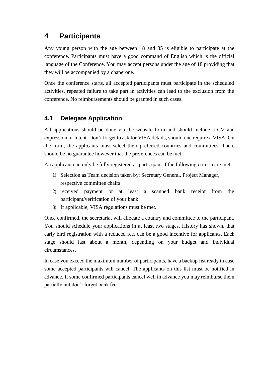## <span id="page-9-0"></span>**4 Participants**

Any young person with the age between 18 and 35 is eligible to participate at the conference. Participants must have a good command of English which is the official language of the Conference. You may accept persons under the age of 18 providing that they will be accompanied by a chaperone.

Once the conference starts, all accepted participants must participate in the scheduled activities, repeated failure to take part in activities can lead to the exclusion from the conference. No reimbursements should be granted in such cases.

### <span id="page-9-1"></span>**4.1 Delegate Application**

All applications should be done via the website form and should include a CV and expression of Intent. Don't forget to ask for VISA details, should one require a VISA. On the form, the applicants must select their preferred countries and committees. There should be no guarantee however that the preferences can be met.

An applicant can only be fully registered as participant if the following criteria are met:

- 1) Selection as Team decision taken by: Secretary General, Project Manager, respective committee chairs
- 2) received payment or at least a scanned bank receipt from the participant/verification of your bank
- 3) If applicable, VISA regulations must be met.

Once confirmed, the secretariat will allocate a country and committee to the participant. You should schedule your applications in at least two stages. History has shown, that early bird registration with a reduced fee, can be a good incentive for applicants. Each stage should last about a month, depending on your budget and individual circumstances.

In case you exceed the maximum number of participants, have a backup list ready in case some accepted participants will cancel. The applicants on this list must be notified in advance. If some confirmed participants cancel well in advance you may reimburse them partially but don't forget bank fees.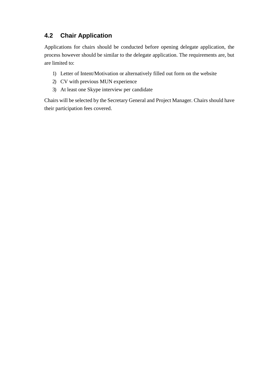### <span id="page-10-0"></span>**4.2 Chair Application**

Applications for chairs should be conducted before opening delegate application, the process however should be similar to the delegate application. The requirements are, but are limited to:

- 1) Letter of Intent/Motivation or alternatively filled out form on the website
- 2) CV with previous MUN experience
- 3) At least one Skype interview per candidate

Chairs will be selected by the Secretary General and Project Manager. Chairs should have their participation fees covered.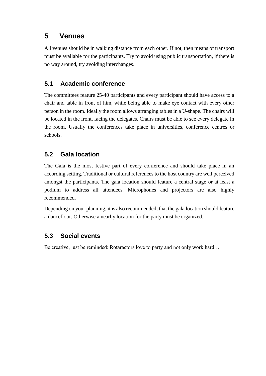## <span id="page-11-0"></span>**5 Venues**

All venues should be in walking distance from each other. If not, then means of transport must be available for the participants. Try to avoid using public transportation, if there is no way around, try avoiding interchanges.

### <span id="page-11-1"></span>**5.1 Academic conference**

The committees feature 25-40 participants and every participant should have access to a chair and table in front of him, while being able to make eye contact with every other person in the room. Ideally the room allows arranging tables in a U-shape. The chairs will be located in the front, facing the delegates. Chairs must be able to see every delegate in the room. Usually the conferences take place in universities, conference centres or schools.

### <span id="page-11-2"></span>**5.2 Gala location**

The Gala is the most festive part of every conference and should take place in an according setting. Traditional or cultural references to the host country are well perceived amongst the participants. The gala location should feature a central stage or at least a podium to address all attendees. Microphones and projectors are also highly recommended.

Depending on your planning, it is also recommended, that the gala location should feature a dancefloor. Otherwise a nearby location for the party must be organized.

### <span id="page-11-3"></span>**5.3 Social events**

Be creative, just be reminded: Rotaractors love to party and not only work hard…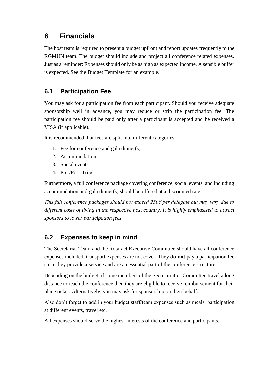## <span id="page-12-0"></span>**6 Financials**

The host team is required to present a budget upfront and report updates frequently to the RGMUN team. The budget should include and project all conference related expenses. Just as a reminder: Expenses should only be as high as expected income. A sensible buffer is expected. See the Budget Template for an example.

### <span id="page-12-1"></span>**6.1 Participation Fee**

You may ask for a participation fee from each participant. Should you receive adequate sponsorship well in advance, you may reduce or strip the participation fee. The participation fee should be paid only after a participant is accepted and he received a VISA (if applicable).

It is recommended that fees are split into different categories:

- 1. Fee for conference and gala dinner(s)
- 2. Accommodation
- 3. Social events
- 4. Pre-/Post-Trips

Furthermore, a full conference package covering conference, social events, and including accommodation and gala dinner(s) should be offered at a discounted rate.

*This full conference packages should not exceed 250€ per delegate but may vary due to different costs of living in the respective host country. It is highly emphasized to attract sponsors to lower participation fees.*

### <span id="page-12-2"></span>**6.2 Expenses to keep in mind**

The Secretariat Team and the Rotaract Executive Committee should have all conference expenses included, transport expenses are not cover. They **do not** pay a participation fee since they provide a service and are an essential part of the conference structure.

Depending on the budget, if some members of the Secretariat or Committee travel a long distance to reach the conference then they are eligible to receive reimbursement for their plane ticket. Alternatively, you may ask for sponsorship on their behalf.

Also don't forget to add in your budget staff/team expenses such as meals, participation at different events, travel etc.

All expenses should serve the highest interests of the conference and participants.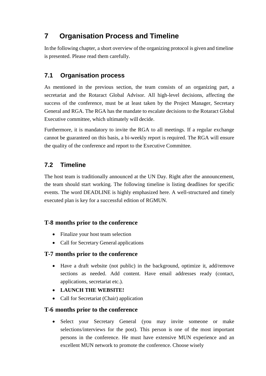## <span id="page-13-0"></span>**7 Organisation Process and Timeline**

In the following chapter, a short overview of the organizing protocol is given and timeline is presented. Please read them carefully.

### <span id="page-13-1"></span>**7.1 Organisation process**

As mentioned in the previous section, the team consists of an organizing part, a secretariat and the Rotaract Global Advisor. All high-level decisions, affecting the success of the conference, must be at least taken by the Project Manager, Secretary General and RGA. The RGA has the mandate to escalate decisions to the Rotaract Global Executive committee, which ultimately will decide.

Furthermore, it is mandatory to invite the RGA to all meetings. If a regular exchange cannot be guaranteed on this basis, a bi-weekly report is required. The RGA will ensure the quality of the conference and report to the Executive Committee.

### <span id="page-13-2"></span>**7.2 Timeline**

The host team is traditionally announced at the UN Day. Right after the announcement, the team should start working. The following timeline is listing deadlines for specific events. The word DEADLINE is highly emphasized here. A well-structured and timely executed plan is key for a successful edition of RGMUN.

### **T-8 months prior to the conference**

- Finalize your host team selection
- Call for Secretary General applications

### **T-7 months prior to the conference**

- Have a draft website (not public) in the background, optimize it, add/remove sections as needed. Add content. Have email addresses ready (contact, applications, secretariat etc.).
- **LAUNCH THE WEBSITE!**
- Call for Secretariat (Chair) application

### **T-6 months prior to the conference**

• Select your Secretary General (you may invite someone or make selections/interviews for the post). This person is one of the most important persons in the conference. He must have extensive MUN experience and an excellent MUN network to promote the conference. Choose wisely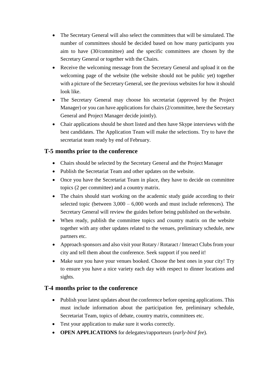- The Secretary General will also select the committees that will be simulated. The number of committees should be decided based on how many participants you aim to have (30/committee) and the specific committees are chosen by the Secretary General or together with the Chairs.
- Receive the welcoming message from the Secretary General and upload it on the welcoming page of the website (the website should not be public yet) together with a picture of the Secretary General, see the previous websites for how it should look like.
- The Secretary General may choose his secretariat (approved by the Project Manager) or you can have applications for chairs (2/committee, here the Secretary General and Project Manager decide jointly).
- Chair applications should be short listed and then have Skype interviews with the best candidates. The Application Team will make the selections. Try to have the secretariat team ready by end of February.

### **T-5 months prior to the conference**

- Chairs should be selected by the Secretary General and the Project Manager
- Publish the Secretariat Team and other updates on the website.
- Once you have the Secretariat Team in place, they have to decide on committee topics (2 per committee) and a country matrix.
- The chairs should start working on the academic study guide according to their selected topic (between  $3,000 - 6,000$  words and must include references). The Secretary General will review the guides before being published on thewebsite.
- When ready, publish the committee topics and country matrix on the website together with any other updates related to the venues, preliminary schedule, new partners etc.
- Approach sponsors and also visit your Rotary / Rotaract / Interact Clubs from your city and tell them about the conference. Seek support if you need it!
- Make sure you have your venues booked. Choose the best ones in your city! Try to ensure you have a nice variety each day with respect to dinner locations and sights.

### **T-4 months prior to the conference**

- Publish your latest updates about the conference before opening applications. This must include information about the participation fee, preliminary schedule, Secretariat Team, topics of debate, country matrix, committees etc.
- Test your application to make sure it works correctly.
- **OPEN APPLICATIONS** for delegates/rapporteurs (*early-bird fee*).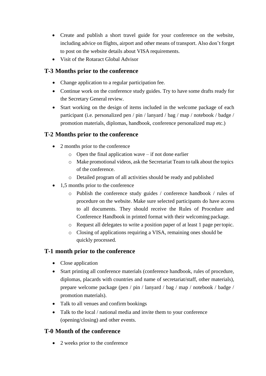- Create and publish a short travel guide for your conference on the website, including advice on flights, airport and other means of transport. Also don't forget to post on the website details about VISA requirements.
- Visit of the Rotaract Global Advisor

### **T-3 Months prior to the conference**

- Change application to a regular participation fee.
- Continue work on the conference study guides. Try to have some drafts ready for the Secretary General review.
- Start working on the design of items included in the welcome package of each participant (i.e. personalized pen / pin / lanyard / bag / map / notebook / badge / promotion materials, diplomas, handbook, conference personalized map etc.)

### **T-2 Months prior to the conference**

- 2 months prior to the conference
	- $\circ$  Open the final application wave if not done earlier
	- o Make promotional videos, ask the Secretariat Team to talk about the topics of the conference.
	- o Detailed program of all activities should be ready and published
- 1,5 months prior to the conference
	- o Publish the conference study guides / conference handbook / rules of procedure on the website. Make sure selected participants do have access to all documents. They should receive the Rules of Procedure and Conference Handbook in printed format with their welcoming package.
	- o Request all delegates to write a position paper of at least 1 page pertopic.
	- o Closing of applications requiring a VISA, remaining ones should be quickly processed.

### **T-1 month prior to the conference**

- Close application
- Start printing all conference materials (conference handbook, rules of procedure, diplomas, placards with countries and name of secretariat/staff, other materials), prepare welcome package (pen / pin / lanyard / bag / map / notebook / badge / promotion materials).
- Talk to all venues and confirm bookings
- Talk to the local / national media and invite them to your conference (opening/closing) and other events.

### **T-0 Month of the conference**

• 2 weeks prior to the conference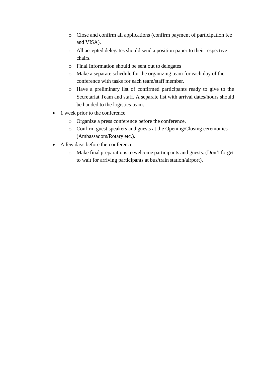- o Close and confirm all applications (confirm payment of participation fee and VISA).
- o All accepted delegates should send a position paper to their respective chairs.
- o Final Information should be sent out to delegates
- o Make a separate schedule for the organizing team for each day of the conference with tasks for each team/staff member.
- o Have a preliminary list of confirmed participants ready to give to the Secretariat Team and staff. A separate list with arrival dates/hours should be handed to the logistics team.
- 1 week prior to the conference
	- o Organize a press conference before the conference.
	- o Confirm guest speakers and guests at the Opening/Closing ceremonies (Ambassadors/Rotary etc.).
- A few days before the conference
	- o Make final preparations to welcome participants and guests. (Don't forget to wait for arriving participants at bus/train station/airport).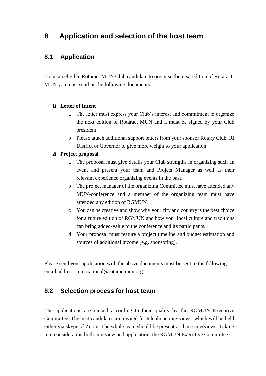## <span id="page-17-0"></span>**8 Application and selection of the host team**

### <span id="page-17-1"></span>**8.1 Application**

To be an eligible Rotaract MUN Club candidate to organise the next edition of Rotaract MUN you must send us the following documents:

#### **1) Letter of Intent**

- a. The letter must express your Club's interest and commitment to organize the next edition of Rotaract MUN and it must be signed by your Club president;
- b. Please attach additional support letters from your sponsor Rotary Club, RI District or Governor to give more weight to your application;

#### **2) Project proposal**

- a. The proposal must give details your Club strengths in organizing such an event and present your team and Project Manager as well as their relevant experience organizing events in the past.
- b. The project manager of the organizing Committee must have attended any MUN-conference and a member of the organizing team must have attended any edition of RGMUN
- c. You can be creative and show why your city and country is the best choice for a future edition of RGMUN and how your local culture and traditions can bring added-value to the conference and its participants.
- d. Your proposal must feature a project timeline and budget estimation and sources of additional income (e.g. sponsoring).

Please send your application with the above documents must be sent to the following email address: [international@rotaractmun.org](mailto:international@rotaractmun.org)

### <span id="page-17-2"></span>**8.2 Selection process for host team**

The applications are ranked according to their quality by the RGMUN Executive Committee. The best candidates are invited for telephone interviews, which will be held either via skype of Zoom. The whole team should be present at those interviews. Taking into consideration both interview and application, the RGMUN Executive Committee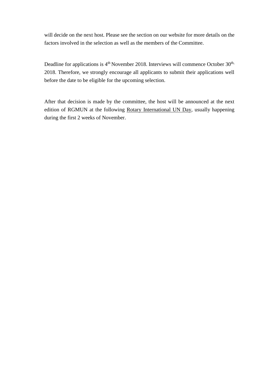will decide on the next host. Please see the section on our website for more details on the factors involved in the selection as well as the members of the Committee.

Deadline for applications is  $4<sup>th</sup>$  November 2018. Interviews will commence October 30<sup>th,</sup> 2018. Therefore, we strongly encourage all applicants to submit their applications well before the date to be eligible for the upcoming selection.

After that decision is made by the committee, the host will be announced at the next edition of RGMUN at the following [Rotary International UN Day, u](http://riunday.org/)sually happening during the first 2 weeks of November.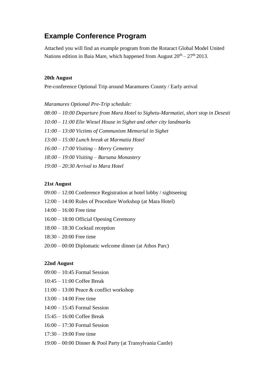### <span id="page-19-0"></span>**Example Conference Program**

Attached you will find an example program from the Rotaract Global Model United Nations edition in Baia Mare, which happened from August  $20^{th} - 27^{th}$  2013.

#### **20th August**

Pre-conference Optional Trip around Maramures County / Early arrival

*Maramures Optional Pre-Trip schedule:*

- *08:00 – 10:00 Departure from Mara Hotel to Sighetu-Marmatiei, short stop in Desesti*
- *10:00 – 11:00 Elie Wiesel House in Sighet and other city landmarks*
- *11:00 – 13:00 Victims of Communism Memorial in Sighet*
- *13:00 – 15:00 Lunch break at Marmatia Hotel*
- *16:00 – 17:00 Visiting – Merry Cemetery*
- *18:00 – 19:00 Visiting – Barsana Monastery*
- *19:00 – 20:30 Arrival to Mara Hotel*

#### **21st August**

- 09:00 12:00 Conference Registration at hotel lobby / sightseeing
- 12:00 14:00 Rules of Procedure Workshop (at Mara Hotel)
- 14:00 16:00 Free time
- 16:00 18:00 Official Opening Ceremony
- 18:00 18:30 Cocktail reception
- 18:30 20:00 Free time
- 20:00 00:00 Diplomatic welcome dinner (at Athos Parc)

#### **22nd August**

- $09:00 10:45$  Formal Session
- 10:45 11:00 Coffee Break
- 11:00 13:00 Peace & conflict workshop
- 13:00 14:00 Free time
- 14:00 15:45 Formal Session
- 15:45 16:00 Coffee Break
- 16:00 17:30 Formal Session
- 17:30 19:00 Free time
- 19:00 00:00 Dinner & Pool Party (at Transylvania Castle)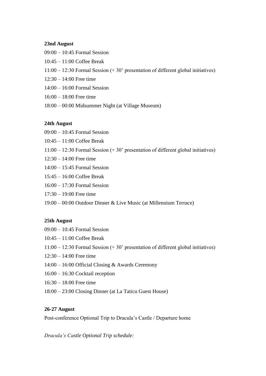#### **23nd August**

- 09:00 10:45 Formal Session
- 10:45 11:00 Coffee Break
- 11:00 12:30 Formal Session (+ 30' presentation of different global initiatives)
- 12:30 14:00 Free time
- 14:00 16:00 Formal Session
- 16:00 18:00 Free time
- 18:00 00:00 Midsummer Night (at Village Museum)

#### **24th August**

- 09:00 10:45 Formal Session
- 10:45 11:00 Coffee Break
- 11:00 12:30 Formal Session (+ 30' presentation of different global initiatives)
- 12:30 14:00 Free time
- 14:00 15:45 Formal Session
- 15:45 16:00 Coffee Break
- 16:00 17:30 Formal Session
- 17:30 19:00 Free time
- 19:00 00:00 Outdoor Dinner & Live Music (at Millennium Terrace)

#### **25th August**

- 09:00 10:45 Formal Session
- 10:45 11:00 Coffee Break
- 11:00 12:30 Formal Session (+ 30' presentation of different global initiatives)
- 12:30 14:00 Free time
- 14:00 16:00 Official Closing & Awards Ceremony
- 16:00 16:30 Cocktail reception
- 16:30 18:00 Free time
- 18:00 23:00 Closing Dinner (at La Taticu Guest House)

#### **26-27 August**

Post-conference Optional Trip to Dracula's Castle / Departure home

*Dracula's Castle Optional Trip schedule:*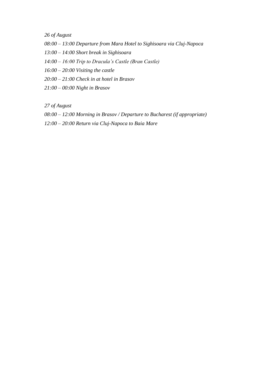*26 of August*

- *08:00 – 13:00 Departure from Mara Hotel to Sighisoara via Cluj-Napoca*
- *13:00 – 14:00 Short break in Sighisoara*
- *14:00 – 16:00 Trip to Dracula's Castle (Bran Castle)*
- *16:00 – 20:00 Visiting the castle*
- *20:00 – 21:00 Check in at hotel in Brasov*
- *21:00 – 00:00 Night in Brasov*

*27 of August*

- *08:00 – 12:00 Morning in Brasov / Departure to Bucharest (if appropriate)*
- *12:00 – 20:00 Return via Cluj-Napoca to Baia Mare*